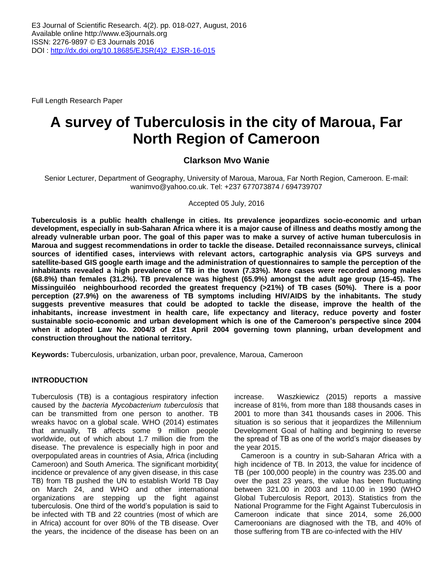Full Length Research Paper

# **A survey of Tuberculosis in the city of Maroua, Far North Region of Cameroon**

## **Clarkson Mvo Wanie**

Senior Lecturer, Department of Geography, University of Maroua, Maroua, Far North Region, Cameroon. E-mail: [wanimvo@yahoo.co.uk.](mailto:wanimvo@yahoo.co.uk) Tel: +237 677073874 / 694739707

Accepted 05 July, 2016

**Tuberculosis is a public health challenge in cities. Its prevalence jeopardizes socio-economic and urban development, especially in sub-Saharan Africa where it is a major cause of illness and deaths mostly among the already vulnerable urban poor. The goal of this paper was to make a survey of active human tuberculosis in Maroua and suggest recommendations in order to tackle the disease. Detailed reconnaissance surveys, clinical sources of identified cases, interviews with relevant actors, cartographic analysis via GPS surveys and satellite-based GIS google earth image and the administration of questionnaires to sample the perception of the inhabitants revealed a high prevalence of TB in the town (7.33%). More cases were recorded among males (68.8%) than females (31.2%). TB prevalence was highest (65.9%) amongst the adult age group (15-45). The Missinguiléo neighbourhood recorded the greatest frequency (>21%) of TB cases (50%). There is a poor perception (27.9%) on the awareness of TB symptoms including HIV/AIDS by the inhabitants. The study suggests preventive measures that could be adopted to tackle the disease, improve the health of the inhabitants, increase investment in health care, life expectancy and literacy, reduce poverty and foster sustainable socio-economic and urban development which is one of the Cameroon's perspective since 2004 when it adopted Law No. 2004/3 of 21st April 2004 governing town planning, urban development and construction throughout the national territory.** 

**Keywords:** Tuberculosis, urbanization, urban poor, prevalence, Maroua, Cameroon

## **INTRODUCTION**

Tuberculosis (TB) is a contagious respiratory infection caused by the *bacteria Mycobacterium tuberculosis* that can be transmitted from one person to another. TB wreaks havoc on a global scale. WHO (2014) estimates that annually, TB affects some 9 million people worldwide, out of which about 1.7 million die from the disease. The prevalence is especially high in poor and overpopulated areas in countries of Asia, Africa (including Cameroon) and South America. The significant morbidity( incidence or prevalence of any given disease, in this case TB) from TB pushed the UN to establish World TB Day on March 24, and WHO and other international organizations are stepping up the fight against tuberculosis. One third of the world's population is said to be infected with TB and 22 countries (most of which are in Africa) account for over 80% of the TB disease. Over the years, the incidence of the disease has been on an

increase. Waszkiewicz (2015) reports a massive increase of 81%, from more than 188 thousands cases in 2001 to more than 341 thousands cases in 2006. This situation is so serious that it jeopardizes the Millennium Development Goal of halting and beginning to reverse the spread of TB as one of the world's major diseases by the year 2015.

Cameroon is a country in sub-Saharan Africa with a high incidence of TB. In 2013, the value for incidence of TB (per 100,000 people) in the country was 235.00 and over the past 23 years, the value has been fluctuating between 321.00 in 2003 and 110.00 in 1990 (WHO Global Tuberculosis Report, 2013). Statistics from the National Programme for the Fight Against Tuberculosis in Cameroon indicate that since 2014, some 26,000 Cameroonians are diagnosed with the TB, and 40% of those suffering from TB are co-infected with the HIV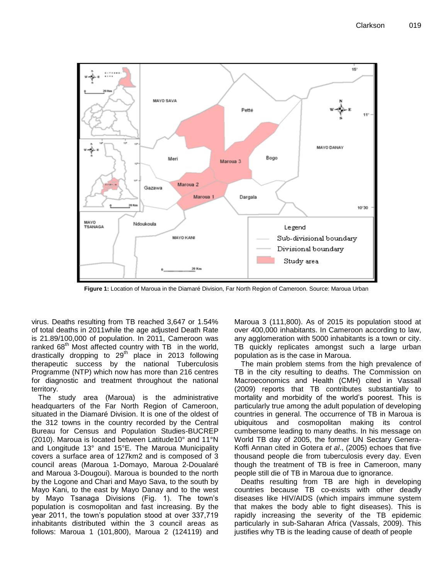

**Figure 1:** Location of Maroua in the Diamaré Division, Far North Region of Cameroon. Source: Maroua Urban

virus. Deaths resulting from TB reached 3,647 or 1.54% of total deaths in 2011while the age adjusted Death Rate is 21.89/100,000 of population. In 2011, Cameroon was ranked  $68<sup>th</sup>$  Most affected country with TB in the world, drastically dropping to  $29<sup>th</sup>$  place in 2013 following therapeutic success by the national Tuberculosis Programme (NTP) which now has more than 216 centres for diagnostic and treatment throughout the national territory.

The study area (Maroua) is the administrative headquarters of the Far North Region of Cameroon, situated in the Diamaré Division. It is one of the oldest of the 312 towns in the country recorded by the Central Bureau for Census and Population Studies-BUCREP (2010). Maroua is located between Latitude10° and 11°N and Longitude 13° and 15°E. The Maroua Municipality covers a surface area of 127km2 and is composed of 3 council areas (Maroua 1-Domayo, Maroua 2-Doualaré and Maroua 3-Dougoui). Maroua is bounded to the north by the Logone and Chari and Mayo Sava, to the south by Mayo Kani, to the east by Mayo Danay and to the west by Mayo Tsanaga Divisions (Fig. 1). The town's population is cosmopolitan and fast increasing. By the year 2011, the town's population stood at over 337,719 inhabitants distributed within the 3 council areas as follows: Maroua 1 (101,800), Maroua 2 (124119) and Maroua 3 (111,800). As of 2015 its population stood at over 400,000 inhabitants. In Cameroon according to law, any agglomeration with 5000 inhabitants is a town or city. TB quickly replicates amongst such a large urban population as is the case in Maroua.

The main problem stems from the high prevalence of TB in the city resulting to deaths. The Commission on Macroeconomics and Health (CMH) cited in Vassall (2009) reports that TB contributes substantially to mortality and morbidity of the world's poorest. This is particularly true among the adult population of developing countries in general. The occurrence of TB in Maroua is ubiquitous and cosmopolitan making its control cumbersome leading to many deaths. In his message on World TB day of 2005, the former UN Sectary Genera-Koffi Annan cited in Gotera *et al*., (2005) echoes that five thousand people die from tuberculosis every day. Even though the treatment of TB is free in Cameroon, many people still die of TB in Maroua due to ignorance.

Deaths resulting from TB are high in developing countries because TB co-exists with other deadly diseases like HIV/AIDS (which impairs immune system that makes the body able to fight diseases). This is rapidly increasing the severity of the TB epidemic particularly in sub-Saharan Africa (Vassals, 2009). This justifies why TB is the leading cause of death of people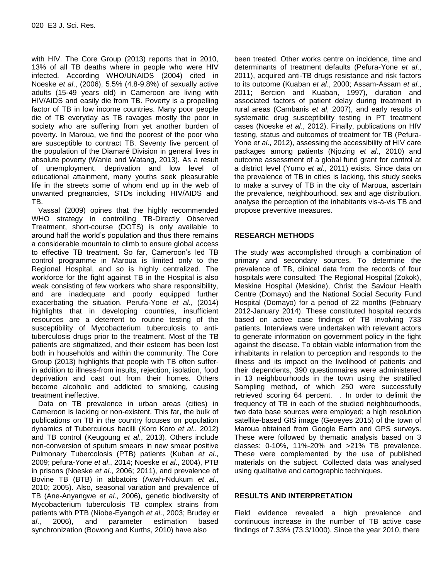with HIV. The Core Group (2013) reports that in 2010, 13% of all TB deaths where in people who were HIV infected. According WHO/UNAIDS (2004) cited in Noeske *et al*., (2006), 5.5% (4.8-9.8%) of sexually active adults (15-49 years old) in Cameroon are living with HIV/AIDS and easily die from TB. Poverty is a propelling factor of TB in low income countries. Many poor people die of TB everyday as TB ravages mostly the poor in society who are suffering from yet another burden of poverty. In Maroua, we find the poorest of the poor who are susceptible to contract TB. Seventy five percent of the population of the Diamaré Division in general lives in absolute poverty (Wanie and Watang, 2013). As a result of unemployment, deprivation and low level of educational attainment, many youths seek pleasurable life in the streets some of whom end up in the web of unwanted pregnancies, STDs including HIV/AIDS and TB.

Vassal (2009) opines that the highly recommended WHO strategy in controlling TB-Directly Observed Treatment, short-course (DOTS) is only available to around half the world's population and thus there remains a considerable mountain to climb to ensure global access to effective TB treatment. So far, Cameroon's led TB control programme in Maroua is limited only to the Regional Hospital, and so is highly centralized. The workforce for the fight against TB in the Hospital is also weak consisting of few workers who share responsibility, and are inadequate and poorly equipped further exacerbating the situation. Perufa-Yone *et al*., (2014) highlights that in developing countries, insufficient resources are a deterrent to routine testing of the susceptibility of Mycobacterium tuberculosis to antituberculosis drugs prior to the treatment. Most of the TB patients are stigmatized, and their esteem has been lost both in households and within the community. The Core Group (2013) highlights that people with TB often sufferin addition to illness-from insults, rejection, isolation, food deprivation and cast out from their homes. Others become alcoholic and addicted to smoking, causing treatment ineffective.

Data on TB prevalence in urban areas (cities) in Cameroon is lacking or non-existent. This far, the bulk of publications on TB in the country focuses on population dynamics of Tuberculous bacilli (Koro Koro *et al*., 2012) and TB control (Keugoung *et al*., 2013). Others include non-conversion of sputum smears in new smear positive Pulmonary Tubercolosis (PTB) patients (Kuban *et al*., 2009; pefura-Yone *et al*., 2014; Noeske *et al*., 2004), PTB in prisons (Noeske *et al*., 2006; 2011), and prevalence of Bovine TB (BTB) in abbatoirs (Awah-Ndukum *et al*., 2010; 2005). Also, seasonal variation and prevalence of TB (Ane-Anyangwe *et al*., 2006), genetic biodiversity of Mycobacterium tuberculosis TB complex strains from patients with PTB (Niobe-Eyangoh *et al*., 2003; Brudey *et al*., 2006), and parameter estimation based synchronization (Bowong and Kurths, 2010) have also

been treated. Other works centre on incidence, time and determinants of treatment defaults (Pefura-Yone *et al*., 2011), acquired anti-TB drugs resistance and risk factors to its outcome (Kuaban *et al*., 2000; Assam-Assam *et al*., 2011; Bercion and Kuaban, 1997), duration and associated factors of patient delay during treatment in rural areas (Cambanis *et al*, 2007), and early results of systematic drug susceptibility testing in PT treatment cases (Noeske *et al*., 2012). Finally, publications on HIV testing, status and outcomes of treatment for TB (Pefura-Yone *et al*., 2012), assessing the accessibility of HIV care packages among patients (Njozing *et al*., 2010) and outcome assessment of a global fund grant for control at a district level (Yumo *et al*., 2011) exists. Since data on the prevalence of TB in cities is lacking, this study seeks to make a survey of TB in the city of Maroua, ascertain the prevalence, neighbourhood, sex and age distribution, analyse the perception of the inhabitants vis-à-vis TB and propose preventive measures.

## **RESEARCH METHODS**

The study was accomplished through a combination of primary and secondary sources. To determine the prevalence of TB, clinical data from the records of four hospitals were consulted: The Regional Hospital (Zokok), Meskine Hospital (Meskine), Christ the Saviour Health Centre (Domayo) and the National Social Security Fund Hospital (Domayo) for a period of 22 months (February 2012-January 2014). These constituted hospital records based on active case findings of TB involving 733 patients. Interviews were undertaken with relevant actors to generate information on government policy in the fight against the disease. To obtain viable information from the inhabitants in relation to perception and responds to the illness and its impact on the livelihood of patients and their dependents, 390 questionnaires were administered in 13 neighbourhoods in the town using the stratified Sampling method, of which 250 were successfully retrieved scoring 64 percent. . In order to delimit the frequency of TB in each of the studied neighbourhoods, two data base sources were employed; a high resolution satellite-based GIS image (Geoeyes 2015) of the town of Maroua obtained from Google Earth and GPS surveys. These were followed by thematic analysis based on 3 classes: 0-10%, 11%-20% and >21% TB prevalence. These were complemented by the use of published materials on the subject. Collected data was analysed using qualitative and cartographic techniques.

## **RESULTS AND INTERPRETATION**

Field evidence revealed a high prevalence and continuous increase in the number of TB active case findings of 7.33% (73.3/1000). Since the year 2010, there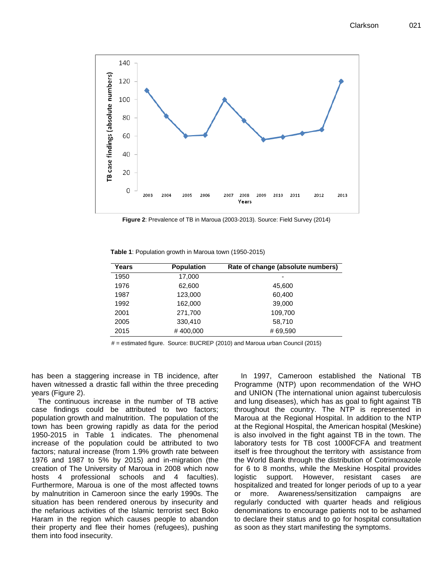

**Figure 2**: Prevalence of TB in Maroua (2003-2013). Source: Field Survey (2014)

|  |  |  |  |  | Table 1: Population growth in Maroua town (1950-2015) |
|--|--|--|--|--|-------------------------------------------------------|
|--|--|--|--|--|-------------------------------------------------------|

| Years | <b>Population</b> | Rate of change (absolute numbers) |  |  |  |
|-------|-------------------|-----------------------------------|--|--|--|
| 1950  | 17,000            |                                   |  |  |  |
| 1976  | 62,600            | 45.600                            |  |  |  |
| 1987  | 123,000           | 60,400                            |  |  |  |
| 1992  | 162,000           | 39,000                            |  |  |  |
| 2001  | 271,700           | 109,700                           |  |  |  |
| 2005  | 330,410           | 58,710                            |  |  |  |
| 2015  | #400,000          | #69,590                           |  |  |  |

# = estimated figure. Source: BUCREP (2010) and Maroua urban Council (2015)

has been a staggering increase in TB incidence, after haven witnessed a drastic fall within the three preceding years (Figure 2).

The continuous increase in the number of TB active case findings could be attributed to two factors; population growth and malnutrition. The population of the town has been growing rapidly as data for the period 1950-2015 in Table 1 indicates. The phenomenal increase of the population could be attributed to two factors; natural increase (from 1.9% growth rate between 1976 and 1987 to 5% by 2015) and in-migration (the creation of The University of Maroua in 2008 which now hosts 4 professional schools and 4 faculties). Furthermore, Maroua is one of the most affected towns by malnutrition in Cameroon since the early 1990s. The situation has been rendered onerous by insecurity and the nefarious activities of the Islamic terrorist sect Boko Haram in the region which causes people to abandon their property and flee their homes (refugees), pushing them into food insecurity.

In 1997, Cameroon established the National TB Programme (NTP) upon recommendation of the WHO and UNION (The international union against tuberculosis and lung diseases), which has as goal to fight against TB throughout the country. The NTP is represented in Maroua at the Regional Hospital. In addition to the NTP at the Regional Hospital, the American hospital (Meskine) is also involved in the fight against TB in the town. The laboratory tests for TB cost 1000FCFA and treatment itself is free throughout the territory with assistance from the World Bank through the distribution of Cotrimoxazole for 6 to 8 months, while the Meskine Hospital provides logistic support. However, resistant cases are hospitalized and treated for longer periods of up to a year or more. Awareness/sensitization campaigns are regularly conducted with quarter heads and religious denominations to encourage patients not to be ashamed to declare their status and to go for hospital consultation as soon as they start manifesting the symptoms.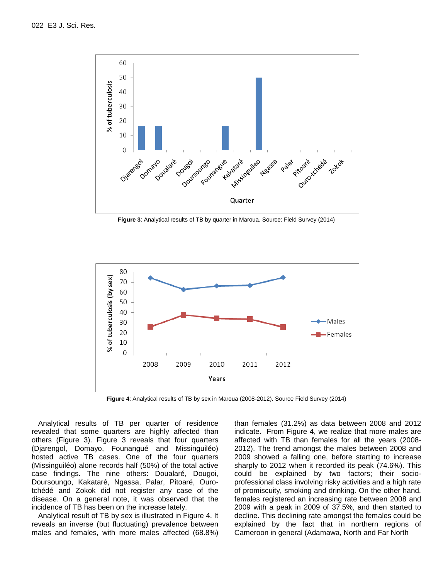

**Figure 3**: Analytical results of TB by quarter in Maroua. Source: Field Survey (2014)



**Figure 4**: Analytical results of TB by sex in Maroua (2008-2012). Source Field Survey (2014)

Analytical results of TB per quarter of residence revealed that some quarters are highly affected than others (Figure 3). Figure 3 reveals that four quarters (Djarengol, Domayo, Founangué and Missinguiléo) hosted active TB cases. One of the four quarters (Missinguiléo) alone records half (50%) of the total active case findings. The nine others: Doualaré, Dougoi, Doursoungo, Kakataré, Ngassa, Palar, Pitoaré, Ourotchédé and Zokok did not register any case of the disease. On a general note, it was observed that the incidence of TB has been on the increase lately.

Analytical result of TB by sex is illustrated in Figure 4. It reveals an inverse (but fluctuating) prevalence between males and females, with more males affected (68.8%) than females (31.2%) as data between 2008 and 2012 indicate. From Figure 4, we realize that more males are affected with TB than females for all the years (2008- 2012). The trend amongst the males between 2008 and 2009 showed a falling one, before starting to increase sharply to 2012 when it recorded its peak (74.6%). This could be explained by two factors; their socioprofessional class involving risky activities and a high rate of promiscuity, smoking and drinking. On the other hand, females registered an increasing rate between 2008 and 2009 with a peak in 2009 of 37.5%, and then started to decline. This declining rate amongst the females could be explained by the fact that in northern regions of Cameroon in general (Adamawa, North and Far North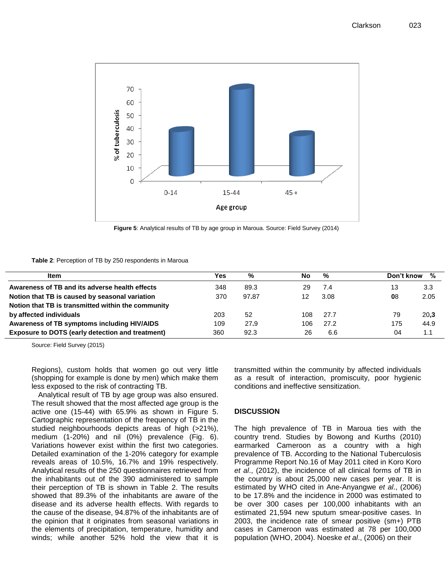

**Figure 5**: Analytical results of TB by age group in Maroua. Source: Field Survey (2014)

#### **Table 2**: Perception of TB by 250 respondents in Maroua

| <b>Item</b>                                             | Yes | %     | No  | %    | %<br>Don't know |
|---------------------------------------------------------|-----|-------|-----|------|-----------------|
| Awareness of TB and its adverse health effects          | 348 | 89.3  | 29  | 7.4  | 3.3<br>13       |
| Notion that TB is caused by seasonal variation          | 370 | 97.87 |     | 3.08 | 08<br>2.05      |
| Notion that TB is transmitted within the community      |     |       |     |      |                 |
| by affected individuals                                 | 203 | 52    | 108 | 27.7 | 20.3<br>79      |
| Awareness of TB symptoms including HIV/AIDS             | 109 | 27.9  | 106 | 27.2 | 175<br>44.9     |
| <b>Exposure to DOTS (early detection and treatment)</b> | 360 | 92.3  | 26  | 6.6  | 04<br>1.1       |

Source: Field Survey (2015)

Regions), custom holds that women go out very little (shopping for example is done by men) which make them less exposed to the risk of contracting TB.

Analytical result of TB by age group was also ensured. The result showed that the most affected age group is the active one (15-44) with 65.9% as shown in Figure 5. Cartographic representation of the frequency of TB in the studied neighbourhoods depicts areas of high (>21%), medium (1-20%) and nil (0%) prevalence (Fig. 6). Variations however exist within the first two categories. Detailed examination of the 1-20% category for example reveals areas of 10.5%, 16.7% and 19% respectively. Analytical results of the 250 questionnaires retrieved from the inhabitants out of the 390 administered to sample their perception of TB is shown in Table 2. The results showed that 89.3% of the inhabitants are aware of the disease and its adverse health effects. With regards to the cause of the disease, 94.87% of the inhabitants are of the opinion that it originates from seasonal variations in the elements of precipitation, temperature, humidity and winds; while another 52% hold the view that it is transmitted within the community by affected individuals as a result of interaction, promiscuity, poor hygienic conditions and ineffective sensitization.

#### **DISCUSSION**

The high prevalence of TB in Maroua ties with the country trend. Studies by Bowong and Kurths (2010) earmarked Cameroon as a country with a high prevalence of TB. According to the National Tuberculosis Programme Report No.16 of May 2011 cited in Koro Koro *et al*., (2012), the incidence of all clinical forms of TB in the country is about 25,000 new cases per year. It is estimated by WHO cited in Ane-Anyangwe *et al*., (2006) to be 17.8% and the incidence in 2000 was estimated to be over 300 cases per 100,000 inhabitants with an estimated 21,594 new sputum smear-positive cases. In 2003, the incidence rate of smear positive (sm+) PTB cases in Cameroon was estimated at 78 per 100,000 population (WHO, 2004). Noeske *et al*., (2006) on their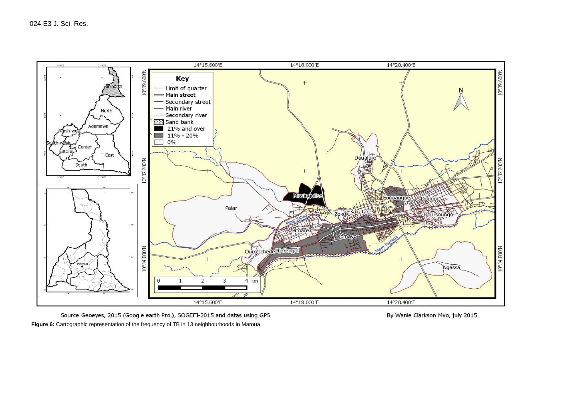

Source: Geoeyes, 2015 (Google earth Pro.), SOGEFI-2015 and datas using GPS. **Figure 6:** Cartographic representation of the frequency of TB in 13 neighbourhoods in Maroua

By Wanie Clarkson Mvo, july 2015.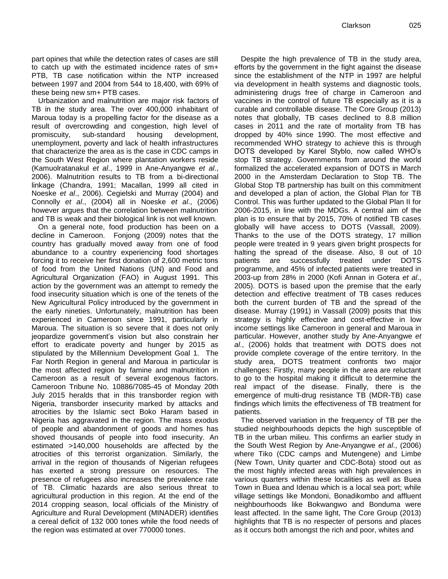Urbanization and malnutrition are major risk factors of TB in the study area. The over 400,000 inhabitant of Maroua today is a propelling factor for the disease as a result of overcrowding and congestion, high level of promiscuity, sub-standard housing development, unemployment, poverty and lack of health infrastructures that characterize the area as is the case in CDC camps in the South West Region where plantation workers reside (Kamuolratanakul *et al*., 1999 in Ane-Anyangwe *et al*., 2006). Malnutrition results to TB from a bi-directional linkage (Chandra, 1991; Macallan, 1999 all cited in Noeske *et al*., 2006). Cegielski and Murray (2004) and Connolly *et al*., (2004) all in Noeske *et al*., (2006) however argues that the correlation between malnutrition and TB is weak and their biological link is not well known.

On a general note, food production has been on a decline in Cameroon. Fonjong (2009) notes that the country has gradually moved away from one of food abundance to a country experiencing food shortages forcing it to receive her first donation of 2,600 metric tons of food from the United Nations (UN) and Food and Agricultural Organization (FAO) in August 1991. This action by the government was an attempt to remedy the food insecurity situation which is one of the tenets of the New Agricultural Policy introduced by the government in the early nineties. Unfortunately, malnutrition has been experienced in Cameroon since 1991, particularly in Maroua. The situation is so severe that it does not only jeopardize government's vision but also constrain her effort to eradicate poverty and hunger by 2015 as stipulated by the Millennium Development Goal 1. The Far North Region in general and Maroua in particular is the most affected region by famine and malnutrition in Cameroon as a result of several exogenous factors. Cameroon Tribune No. 10886/7085-45 of Monday 20th July 2015 heralds that in this transborder region with Nigeria, transborder insecurity marked by attacks and atrocities by the Islamic sect Boko Haram based in Nigeria has aggravated in the region. The mass exodus of people and abandonment of goods and homes has shoved thousands of people into food insecurity. An estimated >140,000 households are affected by the atrocities of this terrorist organization. Similarly, the arrival in the region of thousands of Nigerian refugees has exerted a strong pressure on resources. The presence of refugees also increases the prevalence rate of TB. Climatic hazards are also serious threat to agricultural production in this region. At the end of the 2014 cropping season, local officials of the Ministry of Agriculture and Rural Development (MINADER) identifies a cereal deficit of 132 000 tones while the food needs of the region was estimated at over 770000 tones.

Despite the high prevalence of TB in the study area, efforts by the government in the fight against the disease since the establishment of the NTP in 1997 are helpful via development in health systems and diagnostic tools, administering drugs free of charge in Cameroon and vaccines in the control of future TB especially as it is a curable and controllable disease. The Core Group (2013) notes that globally, TB cases declined to 8.8 million cases in 2011 and the rate of mortality from TB has dropped by 40% since 1990. The most effective and recommended WHO strategy to achieve this is through DOTS developed by Karel Styblo, now called WHO's stop TB strategy. Governments from around the world formalized the accelerated expansion of DOTS in March 2000 in the Amsterdam Declaration to Stop TB. The Global Stop TB partnership has built on this commitment and developed a plan of action, the Global Plan for TB Control. This was further updated to the Global Plan II for 2006-2015, in line with the MDGs. A central aim of the plan is to ensure that by 2015, 70% of notified TB cases globally will have access to DOTS (Vassall, 2009). Thanks to the use of the DOTS strategy, 17 million people were treated in 9 years given bright prospects for halting the spread of the disease. Also, 8 out of 10 patients are successfully treated under DOTS programme, and 45% of infected patients were treated in 2003-up from 28% in 2000 (Kofi Annan in Gotera *et al*., 2005). DOTS is based upon the premise that the early detection and effective treatment of TB cases reduces both the current burden of TB and the spread of the disease. Murray (1991) in Vassall (2009) posits that this strategy is highly effective and cost-effective in low income settings like Cameroon in general and Maroua in particular. However, another study by Ane-Anyangwe *et al*., (2006) holds that treatment with DOTS does not provide complete coverage of the entire territory. In the study area, DOTS treatment confronts two major challenges: Firstly, many people in the area are reluctant to go to the hospital making it difficult to determine the real impact of the disease. Finally, there is the emergence of multi-drug resistance TB (MDR-TB) case findings which limits the effectiveness of TB treatment for patients.

The observed variation in the frequency of TB per the studied neighbourhoods depicts the high susceptible of TB in the urban milieu. This confirms an earlier study in the South West Region by Ane-Anyangwe *et al*., (2006) where Tiko (CDC camps and Mutengene) and Limbe (New Town, Unity quarter and CDC-Bota) stood out as the most highly infected areas with high prevalences in various quarters within these localities as well as Buea Town in Buea and Idenau which is a local sea port; while village settings like Mondoni, Bonadikombo and affluent neighbourhoods like Bokwangwo and Bonduma were least affected. In the same light, The Core Group (2013) highlights that TB is no respecter of persons and places as it occurs both amongst the rich and poor, whites and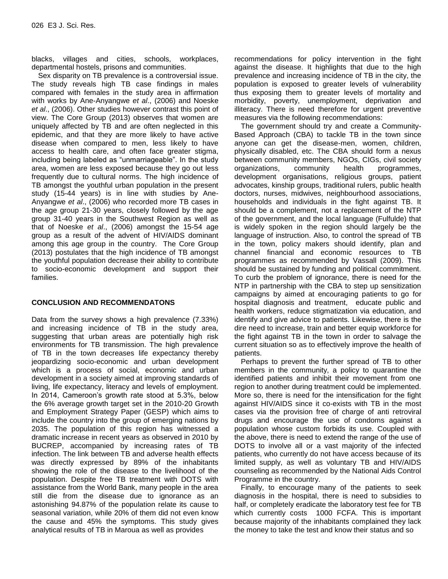blacks, villages and cities, schools, workplaces, departmental hostels, prisons and communities.

Sex disparity on TB prevalence is a controversial issue. The study reveals high TB case findings in males compared with females in the study area in affirmation with works by Ane-Anyangwe *et al*., (2006) and Noeske *et al*., (2006). Other studies however contrast this point of view. The Core Group (2013) observes that women are uniquely affected by TB and are often neglected in this epidemic, and that they are more likely to have active disease when compared to men, less likely to have access to health care, and often face greater stigma, including being labeled as "unmarriageable". In the study area, women are less exposed because they go out less frequently due to cultural norms. The high incidence of TB amongst the youthful urban population in the present study (15-44 years) is in line with studies by Ane-Anyangwe *et al*., (2006) who recorded more TB cases in the age group 21-30 years, closely followed by the age group 31-40 years in the Southwest Region as well as that of Noeske *et al*., (2006) amongst the 15-54 age group as a result of the advent of HIV/AIDS dominant among this age group in the country. The Core Group (2013) postulates that the high incidence of TB amongst the youthful population decrease their ability to contribute to socio-economic development and support their families.

## **CONCLUSION AND RECOMMENDATONS**

Data from the survey shows a high prevalence (7.33%) and increasing incidence of TB in the study area, suggesting that urban areas are potentially high risk environments for TB transmission. The high prevalence of TB in the town decreases life expectancy thereby jeopardizing socio-economic and urban development which is a process of social, economic and urban development in a society aimed at improving standards of living, life expectancy, literacy and levels of employment. In 2014, Cameroon's growth rate stood at 5.3%, below the 6% average growth target set in the 2010-20 Growth and Employment Strategy Paper (GESP) which aims to include the country into the group of emerging nations by 2035. The population of this region has witnessed a dramatic increase in recent years as observed in 2010 by BUCREP, accompanied by increasing rates of TB infection. The link between TB and adverse health effects was directly expressed by 89% of the inhabitants showing the role of the disease to the livelihood of the population. Despite free TB treatment with DOTS with assistance from the World Bank, many people in the area still die from the disease due to ignorance as an astonishing 94.87% of the population relate its cause to seasonal variation, while 20% of them did not even know the cause and 45% the symptoms. This study gives analytical results of TB in Maroua as well as provides

recommendations for policy intervention in the fight against the disease. It highlights that due to the high prevalence and increasing incidence of TB in the city, the population is exposed to greater levels of vulnerability thus exposing them to greater levels of mortality and morbidity, poverty, unemployment, deprivation and illiteracy. There is need therefore for urgent preventive measures via the following recommendations:

The government should try and create a Community-Based Approach (CBA) to tackle TB in the town since anyone can get the disease-men, women, children, physically disabled, etc. The CBA should form a nexus between community members, NGOs, CIGs, civil society organizations, community health programmes, development organisations, religious groups, patient advocates, kinship groups, traditional rulers, public health doctors, nurses, midwives, neighbourhood associations, households and individuals in the fight against TB. It should be a complement, not a replacement of the NTP of the government, and the local language (Fulfulde) that is widely spoken in the region should largely be the language of instruction. Also, to control the spread of TB in the town, policy makers should identify, plan and channel financial and economic resources to TB programmes as recommended by Vassall (2009). This should be sustained by funding and political commitment. To curb the problem of ignorance, there is need for the NTP in partnership with the CBA to step up sensitization campaigns by aimed at encouraging patients to go for hospital diagnosis and treatment, educate public and health workers, reduce stigmatization via education, and identify and give advice to patients. Likewise, there is the dire need to increase, train and better equip workforce for the fight against TB in the town in order to salvage the current situation so as to effectively improve the health of patients.

Perhaps to prevent the further spread of TB to other members in the community, a policy to quarantine the identified patients and inhibit their movement from one region to another during treatment could be implemented. More so, there is need for the intensification for the fight against HIV/AIDS since it co-exists with TB in the most cases via the provision free of charge of anti retroviral drugs and encourage the use of condoms against a population whose custom forbids its use. Coupled with the above, there is need to extend the range of the use of DOTS to involve all or a vast majority of the infected patients, who currently do not have access because of its limited supply, as well as voluntary TB and HIV/AIDS counseling as recommended by the National Aids Control Programme in the country.

Finally, to encourage many of the patients to seek diagnosis in the hospital, there is need to subsidies to half, or completely eradicate the laboratory test fee for TB which currently costs 1000 FCFA. This is important because majority of the inhabitants complained they lack the money to take the test and know their status and so